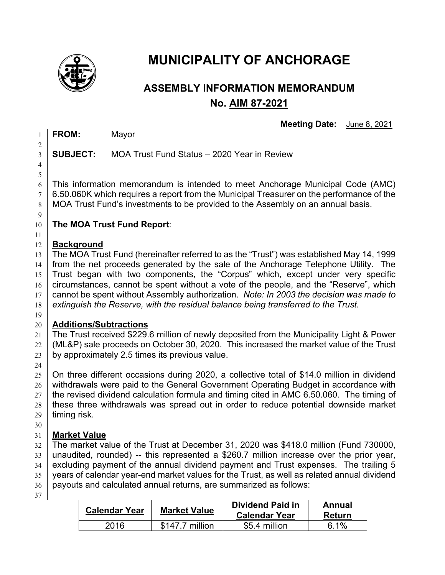

# **MUNICIPALITY OF ANCHORAGE**

## **ASSEMBLY INFORMATION MEMORANDUM No. AIM 87-2021**

**Meeting Date:** June 8, 2021

**FROM:** Mayor

 

**SUBJECT:** MOA Trust Fund Status – 2020 Year in Review

 $6 \mid$  This information memorandum is intended to meet Anchorage Municipal Code (AMC)  $7 \mid 6.50.060K$  which requires a report from the Municipal Treasurer on the performance of the  $8 \mid$  MOA Trust Fund's investments to be provided to the Assembly on an annual basis.

## **The MOA Trust Fund Report**:

#### **Background**

13 The MOA Trust Fund (hereinafter referred to as the "Trust") was established May 14, 1999 from the net proceeds generated by the sale of the Anchorage Telephone Utility. The 15 | Trust began with two components, the "Corpus" which, except under very specific circumstances, cannot be spent without a vote of the people, and the "Reserve", which cannot be spent without Assembly authorization. *Note: In 2003 the decision was made to extinguish the Reserve, with the residual balance being transferred to the Trust.*  

#### **Additions/Subtractions**

 The Trust received \$229.6 million of newly deposited from the Municipality Light & Power  $22 \mid$  (ML&P) sale proceeds on October 30, 2020. This increased the market value of the Trust 23 by approximately 2.5 times its previous value.

 On three different occasions during 2020, a collective total of \$14.0 million in dividend withdrawals were paid to the General Government Operating Budget in accordance with the revised dividend calculation formula and timing cited in AMC 6.50.060. The timing of these three withdrawals was spread out in order to reduce potential downside market timing risk.

### **Market Value**

 The market value of the Trust at December 31, 2020 was \$418.0 million (Fund 730000, unaudited, rounded) -- this represented a \$260.7 million increase over the prior year, excluding payment of the annual dividend payment and Trust expenses. The trailing 5 years of calendar year-end market values for the Trust, as well as related annual dividend payouts and calculated annual returns, are summarized as follows:

| <b>Calendar Year</b> | <b>Market Value</b> | <b>Dividend Paid in</b><br><b>Calendar Year</b> | Annual<br>Return |
|----------------------|---------------------|-------------------------------------------------|------------------|
| 2016                 | \$147.7 million     | \$5.4 million                                   | $6.1\%$          |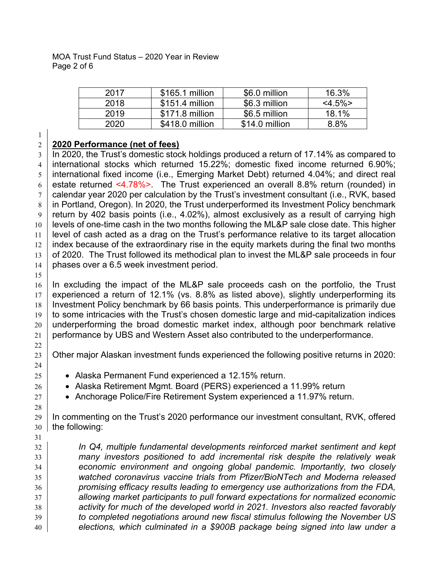| 2017 | \$165.1 million  | \$6.0 million  | 16.3%        |
|------|------------------|----------------|--------------|
| 2018 | $$151.4$ million | \$6.3 million  | $<$ 4.5% $>$ |
| 2019 | \$171.8 million  | \$6.5 million  | 18.1%        |
| 2020 | \$418.0 million  | \$14.0 million | 8.8%         |

#### **2020 Performance (net of fees)**

 $3 \mid$  In 2020, the Trust's domestic stock holdings produced a return of 17.14% as compared to international stocks which returned 15.22%; domestic fixed income returned 6.90%; international fixed income (i.e., Emerging Market Debt) returned 4.04%; and direct real 6 estate returned <4.78%> The Trust experienced an overall 8.8% return (rounded) in  $7 \mid$  calendar year 2020 per calculation by the Trust's investment consultant (i.e., RVK, based 8 in Portland, Oregon). In 2020, the Trust underperformed its Investment Policy benchmark return by 402 basis points (i.e., 4.02%), almost exclusively as a result of carrying high levels of one-time cash in the two months following the ML&P sale close date. This higher level of cash acted as a drag on the Trust's performance relative to its target allocation index because of the extraordinary rise in the equity markets during the final two months of 2020. The Trust followed its methodical plan to invest the ML&P sale proceeds in four 14 phases over a 6.5 week investment period.

 In excluding the impact of the ML&P sale proceeds cash on the portfolio, the Trust experienced a return of 12.1% (vs. 8.8% as listed above), slightly underperforming its 18 Investment Policy benchmark by 66 basis points. This underperformance is primarily due to some intricacies with the Trust's chosen domestic large and mid-capitalization indices underperforming the broad domestic market index, although poor benchmark relative 21 performance by UBS and Western Asset also contributed to the underperformance.

23 | Other major Alaskan investment funds experienced the following positive returns in 2020:

- 25  $\parallel$  Alaska Permanent Fund experienced a 12.15% return.
- **Alaska Retirement Mgmt. Board (PERS) experienced a 11.99% return**
- 27  $\parallel$  Anchorage Police/Fire Retirement System experienced a 11.97% return.

29 In commenting on the Trust's 2020 performance our investment consultant, RVK, offered  $30 \mid$  the following:

 *In Q4, multiple fundamental developments reinforced market sentiment and kept many investors positioned to add incremental risk despite the relatively weak economic environment and ongoing global pandemic. Importantly, two closely watched coronavirus vaccine trials from Pfizer/BioNTech and Moderna released promising efficacy results leading to emergency use authorizations from the FDA, allowing market participants to pull forward expectations for normalized economic activity for much of the developed world in 2021. Investors also reacted favorably to completed negotiations around new fiscal stimulus following the November US elections, which culminated in a \$900B package being signed into law under a*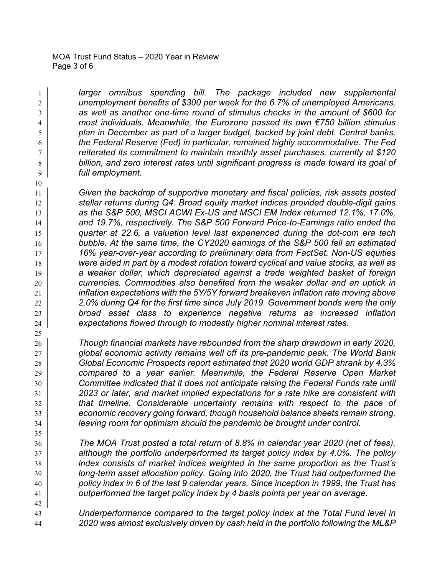#### MOA Trust Fund Status – 2020 Year in Review Page 3 of 6

 *larger omnibus spending bill. The package included new supplemental unemployment benefits of \$300 per week for the 6.7% of unemployed Americans, as well as another one-time round of stimulus checks in the amount of \$600 for most individuals. Meanwhile, the Eurozone passed its own €750 billion stimulus plan in December as part of a larger budget, backed by joint debt. Central banks, the Federal Reserve (Fed) in particular, remained highly accommodative. The Fed reiterated its commitment to maintain monthly asset purchases, currently at \$120 billion, and zero interest rates until significant progress is made toward its goal of full employment.*

 *Given the backdrop of supportive monetary and fiscal policies, risk assets posted stellar returns during Q4. Broad equity market indices provided double-digit gains as the S&P 500, MSCI ACWI Ex-US and MSCI EM Index returned 12.1%, 17.0%, and 19.7%, respectively. The S&P 500 Forward Price-to-Earnings ratio ended the quarter at 22.6, a valuation level last experienced during the dot-com era tech bubble. At the same time, the CY2020 earnings of the S&P 500 fell an estimated 16% year-over-year according to preliminary data from FactSet. Non-US equities were aided in part by a modest rotation toward cyclical and value stocks, as well as a weaker dollar, which depreciated against a trade weighted basket of foreign currencies. Commodities also benefited from the weaker dollar and an uptick in inflation expectations with the 5Y/5Y forward breakeven inflation rate moving above 2.0% during Q4 for the first time since July 2019. Government bonds were the only broad asset class to experience negative returns as increased inflation expectations flowed through to modestly higher nominal interest rates.*

 *Though financial markets have rebounded from the sharp drawdown in early 2020, global economic activity remains well off its pre-pandemic peak. The World Bank Global Economic Prospects report estimated that 2020 world GDP shrank by 4.3% compared to a year earlier. Meanwhile, the Federal Reserve Open Market Committee indicated that it does not anticipate raising the Federal Funds rate until 2023 or later, and market implied expectations for a rate hike are consistent with that timeline. Considerable uncertainty remains with respect to the pace of economic recovery going forward, though household balance sheets remain strong, leaving room for optimism should the pandemic be brought under control.*

 *The MOA Trust posted a total return of 8.8% in calendar year 2020 (net of fees), although the portfolio underperformed its target policy index by 4.0%. The policy index consists of market indices weighted in the same proportion as the Trust's long-term asset allocation policy. Going into 2020, the Trust had outperformed the policy index in 6 of the last 9 calendar years. Since inception in 1999, the Trust has outperformed the target policy index by 4 basis points per year on average.*

 *Underperformance compared to the target policy index at the Total Fund level in 2020 was almost exclusively driven by cash held in the portfolio following the ML&P*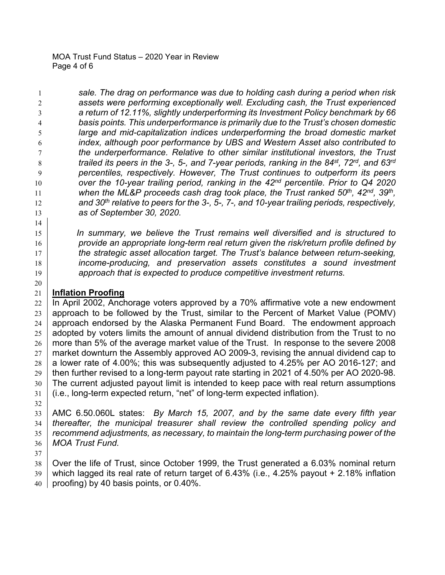MOA Trust Fund Status – 2020 Year in Review Page 4 of 6

 *sale. The drag on performance was due to holding cash during a period when risk assets were performing exceptionally well. Excluding cash, the Trust experienced a return of 12.11%, slightly underperforming its Investment Policy benchmark by 66 basis points. This underperformance is primarily due to the Trust's chosen domestic large and mid-capitalization indices underperforming the broad domestic market index, although poor performance by UBS and Western Asset also contributed to the underperformance. Relative to other similar institutional investors, the Trust trailed its peers in the 3-, 5-, and 7-year periods, ranking in the 84st, 72rd, and 63rd percentiles, respectively. However, The Trust continues to outperform its peers over the 10-year trailing period, ranking in the 42nd percentile. Prior to Q4 2020 when the ML&P proceeds cash drag took place, the Trust ranked 50th, 42nd, 39th , and 30th relative to peers for the 3-, 5-, 7-, and 10-year trailing periods, respectively, as of September 30, 2020.*

 *In summary, we believe the Trust remains well diversified and is structured to provide an appropriate long-term real return given the risk/return profile defined by the strategic asset allocation target. The Trust's balance between return-seeking, income-producing, and preservation assets constitutes a sound investment approach that is expected to produce competitive investment returns.*

#### **Inflation Proofing**

 In April 2002, Anchorage voters approved by a 70% affirmative vote a new endowment approach to be followed by the Trust, similar to the Percent of Market Value (POMV) approach endorsed by the Alaska Permanent Fund Board. The endowment approach adopted by voters limits the amount of annual dividend distribution from the Trust to no more than 5% of the average market value of the Trust. In response to the severe 2008  $27 \mid$  market downturn the Assembly approved AO 2009-3, revising the annual dividend cap to a lower rate of 4.00%; this was subsequently adjusted to 4.25% per AO 2016-127; and 29 then further revised to a long-term payout rate starting in 2021 of 4.50% per AO 2020-98. The current adjusted payout limit is intended to keep pace with real return assumptions (i.e., long-term expected return, "net" of long-term expected inflation).

 AMC 6.50.060L states: *By March 15, 2007, and by the same date every fifth year thereafter, the municipal treasurer shall review the controlled spending policy and recommend adjustments, as necessary, to maintain the long-term purchasing power of the MOA Trust Fund.* 

38 | Over the life of Trust, since October 1999, the Trust generated a 6.03% nominal return which lagged its real rate of return target of 6.43% (i.e., 4.25% payout + 2.18% inflation  $40 \vert$  proofing) by 40 basis points, or 0.40%.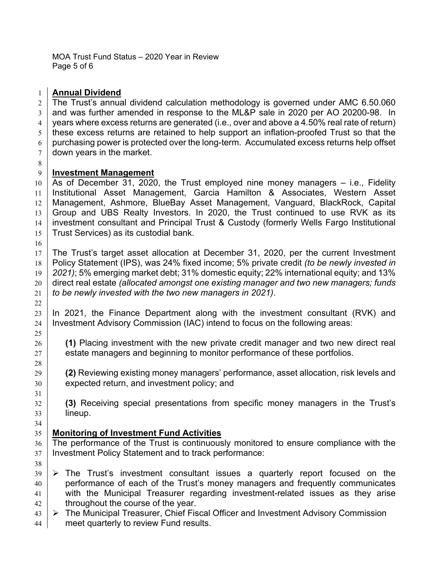MOA Trust Fund Status – 2020 Year in Review Page 5 of 6

#### **Annual Dividend**

 The Trust's annual dividend calculation methodology is governed under AMC 6.50.060  $3 \mid$  and was further amended in response to the ML&P sale in 2020 per AO 20200-98. In  $4 \mid$  years where excess returns are generated (i.e., over and above a 4.50% real rate of return)  $5 \mid$  these excess returns are retained to help support an inflation-proofed Trust so that the  $6 \mid$  purchasing power is protected over the long-term. Accumulated excess returns help offset  $7 \mid$  down vears in the market.

#### **Investment Management**

 As of December 31, 2020, the Trust employed nine money managers – i.e., Fidelity Institutional Asset Management, Garcia Hamilton & Associates, Western Asset Management, Ashmore, BlueBay Asset Management, Vanguard, BlackRock, Capital 13 Group and UBS Realty Investors. In 2020, the Trust continued to use RVK as its investment consultant and Principal Trust & Custody (formerly Wells Fargo Institutional Trust Services) as its custodial bank.

 The Trust's target asset allocation at December 31, 2020, per the current Investment Policy Statement (IPS), was 24% fixed income; 5% private credit *(to be newly invested in 2021)*; 5% emerging market debt; 31% domestic equity; 22% international equity; and 13% direct real estate *(allocated amongst one existing manager and two new managers; funds to be newly invested with the two new managers in 2021)*.

 In 2021, the Finance Department along with the investment consultant (RVK) and 24 Investment Advisory Commission (IAC) intend to focus on the following areas:

 **(1)** Placing investment with the new private credit manager and two new direct real estate managers and beginning to monitor performance of these portfolios.

 **(2)** Reviewing existing money managers' performance, asset allocation, risk levels and 30 expected return, and investment policy; and

 **(3)** Receiving special presentations from specific money managers in the Trust's lineup.

#### **Monitoring of Investment Fund Activities**

 The performance of the Trust is continuously monitored to ensure compliance with the Investment Policy Statement and to track performance:

- $39 \mid \triangleright$  The Trust's investment consultant issues a quarterly report focused on the 40 performance of each of the Trust's money managers and frequently communicates 41 with the Municipal Treasurer regarding investment-related issues as they arise throughout the course of the year.
- $\triangleright$  The Municipal Treasurer, Chief Fiscal Officer and Investment Advisory Commission **meet quarterly to review Fund results.**